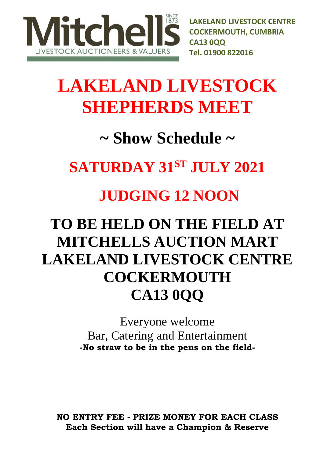

**LAKELAND LIVESTOCK CENTRE COCKERMOUTH, CUMBRIA CA13 0QQ Tel. 01900 822016** 

# **LAKELAND LIVESTOCK SHEPHERDS MEET**

## **~ Show Schedule ~**

### **SATURDAY 31ST JULY 2021**

### **JUDGING 12 NOON**

## **TO BE HELD ON THE FIELD AT MITCHELLS AUCTION MART LAKELAND LIVESTOCK CENTRE COCKERMOUTH CA13 0QQ**

Everyone welcome Bar, Catering and Entertainment **-No straw to be in the pens on the field-**

**NO ENTRY FEE - PRIZE MONEY FOR EACH CLASS Each Section will have a Champion & Reserve**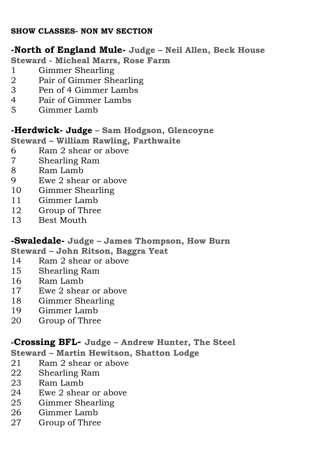#### **SHOW CLASSES- NON MV SECTION**

#### **-North of England Mule- Judge – Neil Allen, Beck House**

**Steward - Micheal Marrs, Rose Farm**

- Gimmer Shearling
- Pair of Gimmer Shearling
- Pen of 4 Gimmer Lambs
- Pair of Gimmer Lambs
- Gimmer Lamb

#### **-Herdwick- Judge – Sam Hodgson, Glencoyne**

**Steward – William Rawling, Farthwaite**

- Ram 2 shear or above
- Shearling Ram
- Ram Lamb
- Ewe 2 shear or above
- Gimmer Shearling
- 10 Gimmer Lamb
- Group of Three
- Best Mouth

#### **-Swaledale- Judge – James Thompson, How Burn**

**Steward – John Ritson, Baggra Yeat**

- 14 Ram 2 shear or above<br>15 Shearling Ram
- Shearling Ram
- Ram Lamb
- 17 Ewe 2 shear or above
- Gimmer Shearling
- Gimmer Lamb
- Group of Three

**-Crossing BFL- Judge – Andrew Hunter, The Steel**

**Steward – Martin Hewitson, Shatton Lodge** 

- Ram 2 shear or above
- Shearling Ram
- 23 Ram Lamb
- Ewe 2 shear or above
- Gimmer Shearling
- Gimmer Lamb
- Group of Three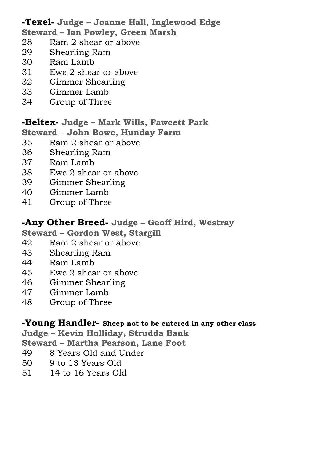**-Texel- Judge – Joanne Hall, Inglewood Edge** 

- **Steward – Ian Powley, Green Marsh**
- Ram 2 shear or above
- Shearling Ram
- Ram Lamb
- Ewe 2 shear or above
- Gimmer Shearling
- Gimmer Lamb
- Group of Three

#### **-Beltex- Judge – Mark Wills, Fawcett Park**

**Steward – John Bowe, Hunday Farm**

- Ram 2 shear or above
- Shearling Ram
- Ram Lamb
- Ewe 2 shear or above
- Gimmer Shearling
- Gimmer Lamb
- Group of Three

#### **-Any Other Breed- Judge – Geoff Hird, Westray**

**Steward – Gordon West, Stargill** 

- Ram 2 shear or above
- Shearling Ram
- Ram Lamb
- Ewe 2 shear or above
- Gimmer Shearling
- Gimmer Lamb
- Group of Three

#### **-Young Handler- Sheep not to be entered in any other class**

**Judge – Kevin Holliday, Strudda Bank**

**Steward – Martha Pearson, Lane Foot**

- 8 Years Old and Under
- 9 to 13 Years Old
- 14 to 16 Years Old